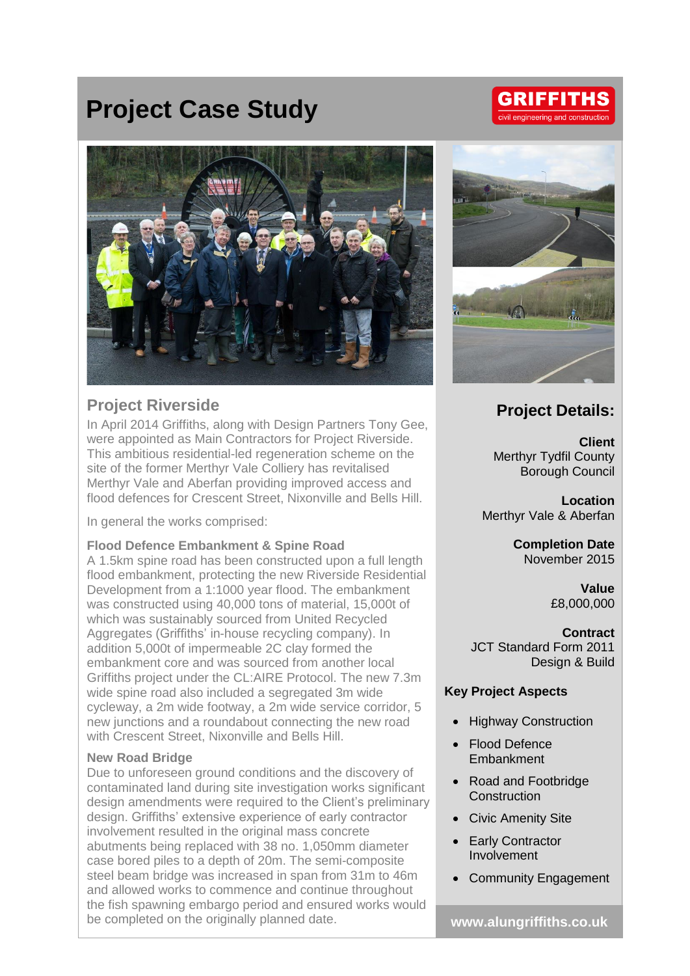## **Project Case Study**



## **Project Riverside**

In April 2014 Griffiths, along with Design Partners Tony Gee, were appointed as Main Contractors for Project Riverside. This ambitious residential-led regeneration scheme on the site of the former Merthyr Vale Colliery has revitalised Merthyr Vale and Aberfan providing improved access and flood defences for Crescent Street, Nixonville and Bells Hill.

In general the works comprised:

### **Flood Defence Embankment & Spine Road**

A 1.5km spine road has been constructed upon a full length flood embankment, protecting the new Riverside Residential Development from a 1:1000 year flood. The embankment was constructed using 40,000 tons of material, 15,000t of which was sustainably sourced from United Recycled Aggregates (Griffiths' in-house recycling company). In addition 5,000t of impermeable 2C clay formed the embankment core and was sourced from another local Griffiths project under the CL:AIRE Protocol. The new 7.3m wide spine road also included a segregated 3m wide cycleway, a 2m wide footway, a 2m wide service corridor, 5 new junctions and a roundabout connecting the new road with Crescent Street, Nixonville and Bells Hill.

### **New Road Bridge**

Due to unforeseen ground conditions and the discovery of contaminated land during site investigation works significant design amendments were required to the Client's preliminary design. Griffiths' extensive experience of early contractor involvement resulted in the original mass concrete abutments being replaced with 38 no. 1,050mm diameter case bored piles to a depth of 20m. The semi-composite steel beam bridge was increased in span from 31m to 46m and allowed works to commence and continue throughout the fish spawning embargo period and ensured works would be completed on the originally planned date. **www.alungriffiths.co.uk**



### **Project Details:**

**Client** Merthyr Tydfil County Borough Council

**Location** Merthyr Vale & Aberfan

> **Completion Date** November 2015

> > **Value** £8,000,000

**Contract** JCT Standard Form 2011 Design & Build

### **Key Project Aspects**

- Highway Construction
- Flood Defence Embankment
- Road and Footbridge **Construction**
- Civic Amenity Site
- Early Contractor Involvement
- Community Engagement

# **GRIFFITHS**